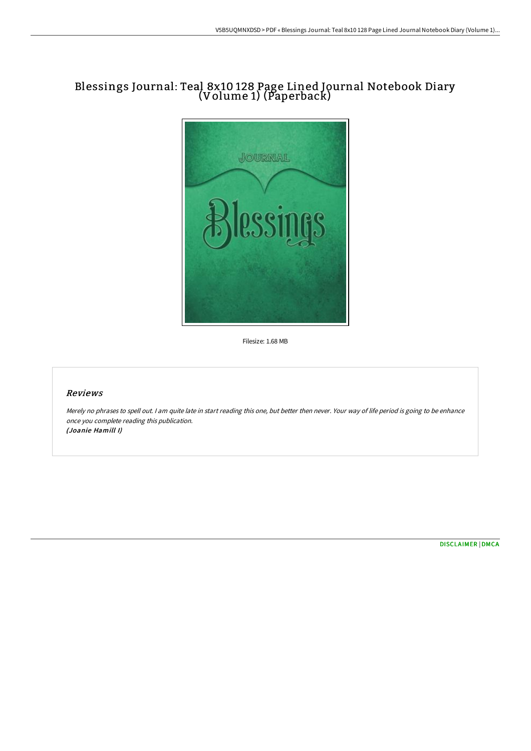## Blessings Journal: Teal 8x10 128 Page Lined Journal Notebook Diary (Volume 1) (Paperback)



Filesize: 1.68 MB

## Reviews

Merely no phrases to spell out. <sup>I</sup> am quite late in start reading this one, but better then never. Your way of life period is going to be enhance once you complete reading this publication. (Joanie Hamill I)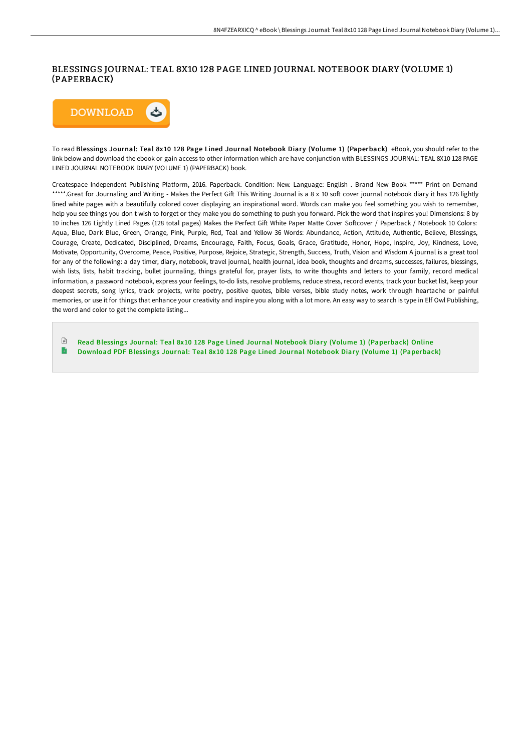## BLESSINGS JOURNAL: TEAL 8X10 128 PAGE LINED JOURNAL NOTEBOOK DIARY (VOLUME 1) (PAPERBACK)



To read Blessings Journal: Teal 8x10 128 Page Lined Journal Notebook Diary (Volume 1) (Paperback) eBook, you should refer to the link below and download the ebook or gain access to other information which are have conjunction with BLESSINGS JOURNAL: TEAL 8X10 128 PAGE LINED JOURNAL NOTEBOOK DIARY (VOLUME 1) (PAPERBACK) book.

Createspace Independent Publishing Platform, 2016. Paperback. Condition: New. Language: English . Brand New Book \*\*\*\*\* Print on Demand \*\*\*\*\*.Great for Journaling and Writing - Makes the Perfect Gift This Writing Journal is a 8 x 10 soft cover journal notebook diary it has 126 lightly lined white pages with a beautifully colored cover displaying an inspirational word. Words can make you feel something you wish to remember, help you see things you don t wish to forget or they make you do something to push you forward. Pick the word that inspires you! Dimensions: 8 by 10 inches 126 Lightly Lined Pages (128 total pages) Makes the Perfect Gift White Paper Matte Cover Softcover / Paperback / Notebook 10 Colors: Aqua, Blue, Dark Blue, Green, Orange, Pink, Purple, Red, Teal and Yellow 36 Words: Abundance, Action, Attitude, Authentic, Believe, Blessings, Courage, Create, Dedicated, Disciplined, Dreams, Encourage, Faith, Focus, Goals, Grace, Gratitude, Honor, Hope, Inspire, Joy, Kindness, Love, Motivate, Opportunity, Overcome, Peace, Positive, Purpose, Rejoice, Strategic, Strength, Success, Truth, Vision and Wisdom A journal is a great tool for any of the following: a day timer, diary, notebook, travel journal, health journal, idea book, thoughts and dreams, successes, failures, blessings, wish lists, lists, habit tracking, bullet journaling, things grateful for, prayer lists, to write thoughts and letters to your family, record medical information, a password notebook, express your feelings, to-do lists, resolve problems, reduce stress, record events, track your bucket list, keep your deepest secrets, song lyrics, track projects, write poetry, positive quotes, bible verses, bible study notes, work through heartache or painful memories, or use it for things that enhance your creativity and inspire you along with a lot more. An easy way to search is type in Elf Owl Publishing, the word and color to get the complete listing...

 $\mathbb{R}$ Read Blessings Journal: Teal 8x10 128 Page Lined Journal Notebook Diary (Volume 1) [\(Paperback\)](http://techno-pub.tech/blessings-journal-teal-8x10-128-page-lined-journ.html) Online B Download PDF Blessings Journal: Teal 8x10 128 Page Lined Journal Notebook Diary (Volume 1) [\(Paperback\)](http://techno-pub.tech/blessings-journal-teal-8x10-128-page-lined-journ.html)